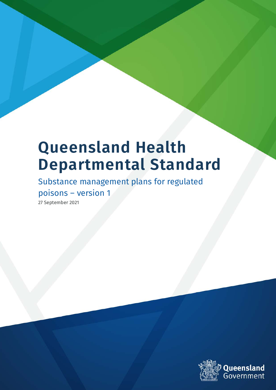# **Queensland Health Departmental Standard**

Substance management plans for regulated poisons – version 1

27 September 2021

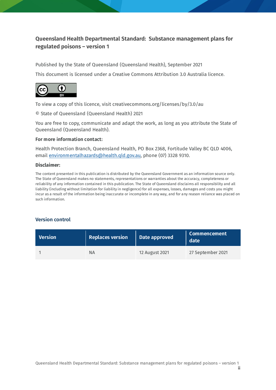### **Queensland Health Departmental Standard: Substance management plans for regulated poisons – version 1**

Published by the State of Queensland (Queensland Health), September 2021

This document is licensed under a Creative Commons Attribution 3.0 Australia licence.



To view a copy of this licence, visit creativecommons.org/licenses/by/3.0/au

© State of Queensland (Queensland Health) 2021

You are free to copy, communicate and adapt the work, as long as you attribute the State of Queensland (Queensland Health).

#### **For more information contact:**

Health Protection Branch, Queensland Health, PO Box 2368, Fortitude Valley BC QLD 4006, email [environmentalhazards@health.qld.gov.au,](mailto:environmentalhazards@health.qld.gov.au) phone (07) 3328 9310.

#### **Disclaimer:**

The content presented in this publication is distributed by the Queensland Government as an information source only. The State of Queensland makes no statements, representations or warranties about the accuracy, completeness or reliability of any information contained in this publication. The State of Queensland disclaims all responsibility and all liability (including without limitation for liability in negligence) for all expenses, losses, damages and costs you might incur as a result of the information being inaccurate or incomplete in any way, and for any reason reliance was placed on such information.

#### **Version control**

| <b>Version</b> | <b>Replaces version</b> | Date approved  | <b>Commencement</b><br>date |
|----------------|-------------------------|----------------|-----------------------------|
|                | ΝA                      | 12 August 2021 | 27 September 2021           |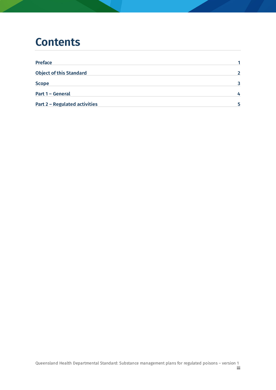### **Contents**

| <b>Preface</b>                       |   |
|--------------------------------------|---|
| <b>Object of this Standard</b>       |   |
| <b>Scope</b>                         |   |
| Part 1 - General                     |   |
| <b>Part 2 - Regulated activities</b> | 5 |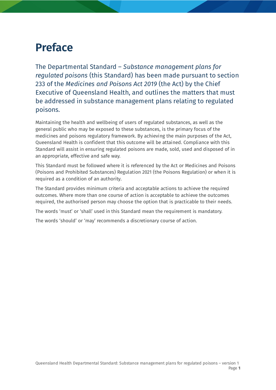# <span id="page-3-0"></span>**Preface**

The Departmental Standard – *Substance management plans for regulated poisons* (this Standard) has been made pursuant to section 233 of the *Medicines and Poisons Act 2019* (the Act) by the Chief Executive of Queensland Health, and outlines the matters that must be addressed in substance management plans relating to regulated poisons.

Maintaining the health and wellbeing of users of regulated substances, as well as the general public who may be exposed to these substances, is the primary focus of the medicines and poisons regulatory framework. By achieving the main purposes of the Act, Queensland Health is confident that this outcome will be attained. Compliance with this Standard will assist in ensuring regulated poisons are made, sold, used and disposed of in an appropriate, effective and safe way.

This Standard must be followed where it is referenced by the Act or Medicines and Poisons (Poisons and Prohibited Substances) Regulation 2021 (the Poisons Regulation) or when it is required as a condition of an authority.

The Standard provides minimum criteria and acceptable actions to achieve the required outcomes. Where more than one course of action is acceptable to achieve the outcomes required, the authorised person may choose the option that is practicable to their needs.

The words 'must' or 'shall' used in this Standard mean the requirement is mandatory.

The words 'should' or 'may' recommends a discretionary course of action.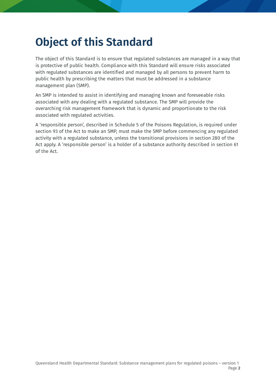# <span id="page-4-0"></span>**Object of this Standard**

The object of this Standard is to ensure that regulated substances are managed in a way that is protective of public health. Compliance with this Standard will ensure risks associated with regulated substances are identified and managed by all persons to prevent harm to public health by prescribing the matters that must be addressed in a substance management plan (SMP).

An SMP is intended to assist in identifying and managing known and foreseeable risks associated with any dealing with a regulated substance. The SMP will provide the overarching risk management framework that is dynamic and proportionate to the risk associated with regulated activities.

<span id="page-4-1"></span>A 'responsible person', described in Schedule 5 of the Poisons Regulation, is required under section 93 of the Act to make an SMP, must make the SMP before commencing any regulated activity with a regulated substance, unless the transitional provisions in section 280 of the Act apply. A 'responsible person' is a holder of a substance authority described in section 61 of the Act.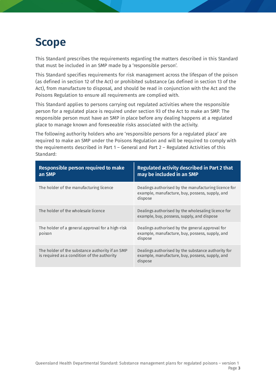# **Scope**

This Standard prescribes the requirements regarding the matters described in this Standard that must be included in an SMP made by a 'responsible person'.

This Standard specifies requirements for risk management across the lifespan of the poison (as defined in section 12 of the Act) or prohibited substance (as defined in section 13 of the Act), from manufacture to disposal, and should be read in conjunction with the Act and the Poisons Regulation to ensure all requirements are complied with.

This Standard applies to persons carrying out regulated activities where the responsible person for a regulated place is required under section 93 of the Act to make an SMP. The responsible person must have an SMP in place before any dealing happens at a regulated place to manage known and foreseeable risks associated with the activity.

The following authority holders who are 'responsible persons for a regulated place' are required to make an SMP under the Poisons Regulation and will be required to comply with the requirements described in Part 1 – General and Part 2 – Regulated Activities of this Standard:

<span id="page-5-0"></span>

| <b>Responsible person required to make</b><br>an SMP                                           | Regulated activity described in Part 2 that<br>may be included in an SMP                                           |
|------------------------------------------------------------------------------------------------|--------------------------------------------------------------------------------------------------------------------|
| The holder of the manufacturing licence                                                        | Dealings authorised by the manufacturing licence for<br>example, manufacture, buy, possess, supply, and<br>dispose |
| The holder of the wholesale licence                                                            | Dealings authorised by the wholesaling licence for<br>example, buy, possess, supply, and dispose                   |
| The holder of a general approval for a high-risk<br>poison                                     | Dealings authorised by the general approval for<br>example, manufacture, buy, possess, supply, and<br>dispose      |
| The holder of the substance authority if an SMP<br>is required as a condition of the authority | Dealings authorised by the substance authority for<br>example, manufacture, buy, possess, supply, and<br>dispose   |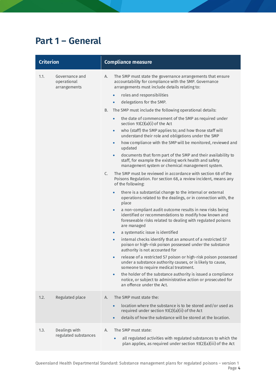### **Part 1 – General**

| <b>Criterion</b> |                                               | <b>Compliance measure</b>                                                                                                                                                                                                                                                                                                                                                                                                                                                                                                                                                                                                                                                                                                                                                                                                                                                                                                                                                                                                                                                                                                                                                                                                                                                                                                                                                                                                                                                                                                                                                                                                                                                                                                                                                                                                                                                                                                                                                                       |
|------------------|-----------------------------------------------|-------------------------------------------------------------------------------------------------------------------------------------------------------------------------------------------------------------------------------------------------------------------------------------------------------------------------------------------------------------------------------------------------------------------------------------------------------------------------------------------------------------------------------------------------------------------------------------------------------------------------------------------------------------------------------------------------------------------------------------------------------------------------------------------------------------------------------------------------------------------------------------------------------------------------------------------------------------------------------------------------------------------------------------------------------------------------------------------------------------------------------------------------------------------------------------------------------------------------------------------------------------------------------------------------------------------------------------------------------------------------------------------------------------------------------------------------------------------------------------------------------------------------------------------------------------------------------------------------------------------------------------------------------------------------------------------------------------------------------------------------------------------------------------------------------------------------------------------------------------------------------------------------------------------------------------------------------------------------------------------------|
| 1.1.             | Governance and<br>operational<br>arrangements | The SMP must state the governance arrangements that ensure<br>А.<br>accountability for compliance with the SMP. Governance<br>arrangements must include details relating to:<br>roles and responsibilities<br>$\bullet$<br>delegations for the SMP.<br>$\bullet$<br>The SMP must include the following operational details:<br>В.<br>the date of commencement of the SMP as required under<br>$\bullet$<br>section $93(2)(a)(i)$ of the Act<br>who (staff) the SMP applies to; and how those staff will<br>$\bullet$<br>understand their role and obligations under the SMP<br>how compliance with the SMP will be monitored, reviewed and<br>$\bullet$<br>updated<br>documents that form part of the SMP and their availability to<br>$\bullet$<br>staff, for example the existing work health and safety<br>management system or chemical management system.<br>The SMP must be reviewed in accordance with section 68 of the<br>C.<br>Poisons Regulation. For section 68, a review incident, means any<br>of the following:<br>there is a substantial change to the internal or external<br>$\bullet$<br>operations related to the dealings, or in connection with, the<br>place<br>a non-compliant audit outcome results in new risks being<br>$\bullet$<br>identified or recommendations to modify how known and<br>foreseeable risks related to dealing with regulated poisons<br>are managed<br>a systematic issue is identified<br>$\bullet$<br>internal checks identify that an amount of a restricted S7<br>$\bullet$<br>poison or high-risk poison possessed under the substance<br>authority is not accounted for<br>release of a restricted S7 poison or high-risk poison possessed<br>$\bullet$<br>under a substance authority causes, or is likely to cause,<br>someone to require medical treatment.<br>the holder of the substance authority is issued a compliance<br>$\bullet$<br>notice, or subject to administrative action or prosecuted for<br>an offence under the Act. |
| 1.2.             | Regulated place                               | The SMP must state the:<br>А.<br>location where the substance is to be stored and/or used as<br>$\bullet$<br>required under section 93(2)(a)(ii) of the Act<br>details of how the substance will be stored at the location.<br>$\bullet$                                                                                                                                                                                                                                                                                                                                                                                                                                                                                                                                                                                                                                                                                                                                                                                                                                                                                                                                                                                                                                                                                                                                                                                                                                                                                                                                                                                                                                                                                                                                                                                                                                                                                                                                                        |
| 1.3.             | Dealings with<br>regulated substances         | The SMP must state:<br>А.<br>all regulated activities with regulated substances to which the<br>plan applies, as required under section 93(2)(a)(iii) of the Act                                                                                                                                                                                                                                                                                                                                                                                                                                                                                                                                                                                                                                                                                                                                                                                                                                                                                                                                                                                                                                                                                                                                                                                                                                                                                                                                                                                                                                                                                                                                                                                                                                                                                                                                                                                                                                |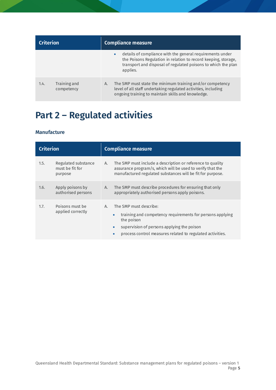| <b>Criterion</b> |                            | <b>Compliance measure</b>                                                                                                                                                                                             |  |
|------------------|----------------------------|-----------------------------------------------------------------------------------------------------------------------------------------------------------------------------------------------------------------------|--|
|                  |                            | details of compliance with the general requirements under<br>$\bullet$<br>the Poisons Regulation in relation to record keeping, storage,<br>transport and disposal of regulated poisons to which the plan<br>applies. |  |
| 1.4.             | Training and<br>competency | The SMP must state the minimum training and/or competency<br>А.<br>level of all staff undertaking regulated activities, including<br>ongoing training to maintain skills and knowledge.                               |  |

## <span id="page-7-0"></span>**Part 2 – Regulated activities**

#### **Manufacture**

| <b>Criterion</b> |                                                   | <b>Compliance measure</b>                                                                                                                                                                                                                                 |  |
|------------------|---------------------------------------------------|-----------------------------------------------------------------------------------------------------------------------------------------------------------------------------------------------------------------------------------------------------------|--|
| 1.5.             | Regulated substance<br>must be fit for<br>purpose | The SMP must include a description or reference to quality<br>А.<br>assurance program/s, which will be used to verify that the<br>manufactured regulated substances will be fit for purpose.                                                              |  |
| 1.6.             | Apply poisons by<br>authorised persons            | The SMP must describe procedures for ensuring that only<br>А.<br>appropriately authorised persons apply poisons.                                                                                                                                          |  |
| 1.7.             | Poisons must be<br>applied correctly              | The SMP must describe:<br>А.<br>training and competency requirements for persons applying<br>$\bullet$<br>the poison<br>supervision of persons applying the poison<br>$\bullet$<br>process control measures related to regulated activities.<br>$\bullet$ |  |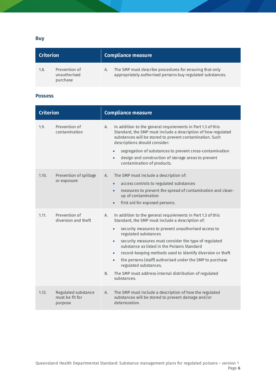**Buy**

| <b>Criterion</b>                                  | Compliance measure                                                                                                          |  |
|---------------------------------------------------|-----------------------------------------------------------------------------------------------------------------------------|--|
| Prevention of<br>1.8.<br>unauthorised<br>purchase | The SMP must describe procedures for ensuring that only<br>А.<br>appropriately authorised persons buy regulated substances. |  |

#### **Possess**

| <b>Criterion</b> |                                                   | <b>Compliance measure</b>                                                                                                                                                                                                                                                                                                                                                                                                                                                                                                                                                              |
|------------------|---------------------------------------------------|----------------------------------------------------------------------------------------------------------------------------------------------------------------------------------------------------------------------------------------------------------------------------------------------------------------------------------------------------------------------------------------------------------------------------------------------------------------------------------------------------------------------------------------------------------------------------------------|
| 1.9.             | Prevention of<br>contamination                    | In addition to the general requirements in Part 1.3 of this<br>Α.<br>Standard, the SMP must include a description of how regulated<br>substances will be stored to prevent contamination. Such<br>descriptions should consider:<br>segregation of substances to prevent cross-contamination<br>$\bullet$<br>design and construction of storage areas to prevent<br>contamination of products.                                                                                                                                                                                          |
| 1.10.            | Prevention of spillage<br>or exposure             | The SMP must include a description of:<br>А.<br>access controls to regulated substances<br>$\bullet$<br>measures to prevent the spread of contamination and clean-<br>up of contamination<br>first aid for exposed persons.<br>$\bullet$                                                                                                                                                                                                                                                                                                                                               |
| 1.11.            | Prevention of<br>diversion and theft              | In addition to the general requirements in Part 1.3 of this<br>Α.<br>Standard, the SMP must include a description of:<br>security measures to prevent unauthorised access to<br>regulated substances<br>security measures must consider the type of regulated<br>$\bullet$<br>substance as listed in the Poisons Standard<br>record-keeping methods used to identify diversion or theft<br>$\bullet$<br>the persons (staff) authorised under the SMP to purchase<br>$\bullet$<br>regulated substances.<br>The SMP must address internal distribution of regulated<br>В.<br>substances. |
| 1.12.            | Regulated substance<br>must be fit for<br>purpose | The SMP must include a description of how the regulated<br>А.<br>substances will be stored to prevent damage and/or<br>deterioration.                                                                                                                                                                                                                                                                                                                                                                                                                                                  |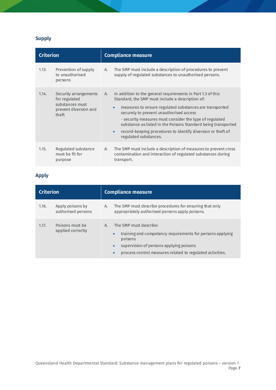### **Supply**

| <b>Criterion</b> |                                                                                             | <b>Compliance measure</b>                                                                                                                                                                                                                                                                                                                                                                                                                                           |  |
|------------------|---------------------------------------------------------------------------------------------|---------------------------------------------------------------------------------------------------------------------------------------------------------------------------------------------------------------------------------------------------------------------------------------------------------------------------------------------------------------------------------------------------------------------------------------------------------------------|--|
| 1.13.            | Prevention of supply<br>to unauthorised<br>persons                                          | The SMP must include a description of procedures to prevent<br>supply of regulated substances to unauthorised persons.                                                                                                                                                                                                                                                                                                                                              |  |
| 1.14.            | Security arrangements<br>for regulated<br>substances must<br>prevent diversion and<br>theft | In addition to the general requirements in Part 1.3 of this<br>Standard, the SMP must include a description of:<br>measures to ensure regulated substances are transported<br>$\bullet$<br>securely to prevent unauthorised access<br>- security measures must consider the type of regulated<br>substance as listed in the Poisons Standard being transported<br>record-keeping procedures to identify diversion or theft of<br>$\bullet$<br>regulated substances. |  |
| 1.15.            | Regulated substance<br>must be fit for<br>purpose                                           | The SMP must include a description of measures to prevent cross<br>contamination and interaction of regulated substances during<br>transport.                                                                                                                                                                                                                                                                                                                       |  |

### **Apply**

| <b>Criterion</b> |                                        | <b>Compliance measure</b>                                                                                                                                                                                                                           |  |
|------------------|----------------------------------------|-----------------------------------------------------------------------------------------------------------------------------------------------------------------------------------------------------------------------------------------------------|--|
| 1.16.            | Apply poisons by<br>authorised persons | The SMP must describe procedures for ensuring that only<br>А.<br>appropriately authorised persons apply poisons.                                                                                                                                    |  |
| 1.17.            | Poisons must be<br>applied correctly   | The SMP must describe:<br>A.<br>training and competency requirements for persons applying<br>$\bullet$<br>poisons<br>supervision of persons applying poisons<br>$\bullet$<br>process control measures related to regulated activities.<br>$\bullet$ |  |